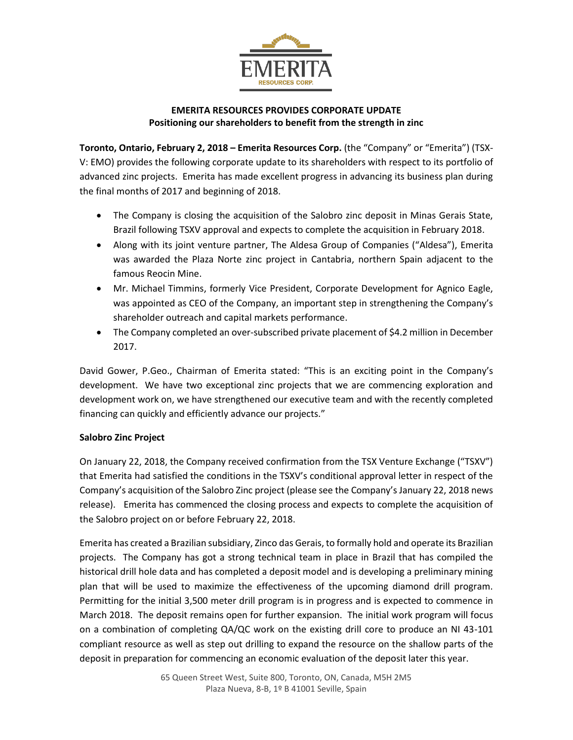

# **EMERITA RESOURCES PROVIDES CORPORATE UPDATE Positioning our shareholders to benefit from the strength in zinc**

**Toronto, Ontario, February 2, 2018 – Emerita Resources Corp.** (the "Company" or "Emerita") (TSX-V: EMO) provides the following corporate update to its shareholders with respect to its portfolio of advanced zinc projects. Emerita has made excellent progress in advancing its business plan during the final months of 2017 and beginning of 2018.

- The Company is closing the acquisition of the Salobro zinc deposit in Minas Gerais State, Brazil following TSXV approval and expects to complete the acquisition in February 2018.
- Along with its joint venture partner, The Aldesa Group of Companies ("Aldesa"), Emerita was awarded the Plaza Norte zinc project in Cantabria, northern Spain adjacent to the famous Reocin Mine.
- Mr. Michael Timmins, formerly Vice President, Corporate Development for Agnico Eagle, was appointed as CEO of the Company, an important step in strengthening the Company's shareholder outreach and capital markets performance.
- The Company completed an over-subscribed private placement of \$4.2 million in December 2017.

David Gower, P.Geo., Chairman of Emerita stated: "This is an exciting point in the Company's development. We have two exceptional zinc projects that we are commencing exploration and development work on, we have strengthened our executive team and with the recently completed financing can quickly and efficiently advance our projects."

## **Salobro Zinc Project**

On January 22, 2018, the Company received confirmation from the TSX Venture Exchange ("TSXV") that Emerita had satisfied the conditions in the TSXV's conditional approval letter in respect of the Company's acquisition of the Salobro Zinc project (please see the Company's January 22, 2018 news release). Emerita has commenced the closing process and expects to complete the acquisition of the Salobro project on or before February 22, 2018.

Emerita has created a Brazilian subsidiary, Zinco das Gerais, to formally hold and operate its Brazilian projects. The Company has got a strong technical team in place in Brazil that has compiled the historical drill hole data and has completed a deposit model and is developing a preliminary mining plan that will be used to maximize the effectiveness of the upcoming diamond drill program. Permitting for the initial 3,500 meter drill program is in progress and is expected to commence in March 2018. The deposit remains open for further expansion. The initial work program will focus on a combination of completing QA/QC work on the existing drill core to produce an NI 43-101 compliant resource as well as step out drilling to expand the resource on the shallow parts of the deposit in preparation for commencing an economic evaluation of the deposit later this year.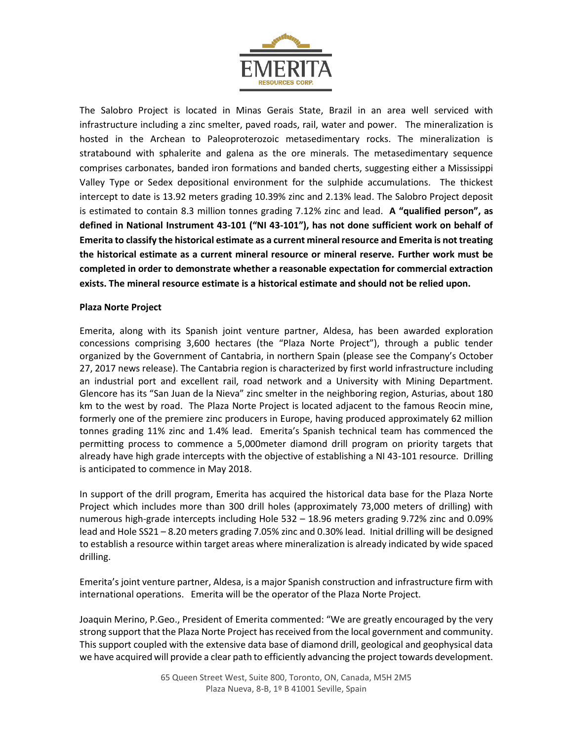

The Salobro Project is located in Minas Gerais State, Brazil in an area well serviced with infrastructure including a zinc smelter, paved roads, rail, water and power. The mineralization is hosted in the Archean to Paleoproterozoic metasedimentary rocks. The mineralization is stratabound with sphalerite and galena as the ore minerals. The metasedimentary sequence comprises carbonates, banded iron formations and banded cherts, suggesting either a Mississippi Valley Type or Sedex depositional environment for the sulphide accumulations. The thickest intercept to date is 13.92 meters grading 10.39% zinc and 2.13% lead. The Salobro Project deposit is estimated to contain 8.3 million tonnes grading 7.12% zinc and lead. **A "qualified person", as defined in National Instrument 43-101 ("NI 43-101"), has not done sufficient work on behalf of Emerita to classify the historical estimate as a current mineral resource and Emerita is not treating the historical estimate as a current mineral resource or mineral reserve. Further work must be completed in order to demonstrate whether a reasonable expectation for commercial extraction exists. The mineral resource estimate is a historical estimate and should not be relied upon.**

#### **Plaza Norte Project**

Emerita, along with its Spanish joint venture partner, Aldesa, has been awarded exploration concessions comprising 3,600 hectares (the "Plaza Norte Project"), through a public tender organized by the Government of Cantabria, in northern Spain (please see the Company's October 27, 2017 news release). The Cantabria region is characterized by first world infrastructure including an industrial port and excellent rail, road network and a University with Mining Department. Glencore has its "San Juan de la Nieva" zinc smelter in the neighboring region, Asturias, about 180 km to the west by road. The Plaza Norte Project is located adjacent to the famous Reocin mine, formerly one of the premiere zinc producers in Europe, having produced approximately 62 million tonnes grading 11% zinc and 1.4% lead. Emerita's Spanish technical team has commenced the permitting process to commence a 5,000meter diamond drill program on priority targets that already have high grade intercepts with the objective of establishing a NI 43-101 resource. Drilling is anticipated to commence in May 2018.

In support of the drill program, Emerita has acquired the historical data base for the Plaza Norte Project which includes more than 300 drill holes (approximately 73,000 meters of drilling) with numerous high-grade intercepts including Hole 532 – 18.96 meters grading 9.72% zinc and 0.09% lead and Hole SS21 – 8.20 meters grading 7.05% zinc and 0.30% lead. Initial drilling will be designed to establish a resource within target areas where mineralization is already indicated by wide spaced drilling.

Emerita's joint venture partner, Aldesa, is a major Spanish construction and infrastructure firm with international operations. Emerita will be the operator of the Plaza Norte Project.

Joaquin Merino, P.Geo., President of Emerita commented: "We are greatly encouraged by the very strong support that the Plaza Norte Project has received from the local government and community. This support coupled with the extensive data base of diamond drill, geological and geophysical data we have acquired will provide a clear path to efficiently advancing the project towards development.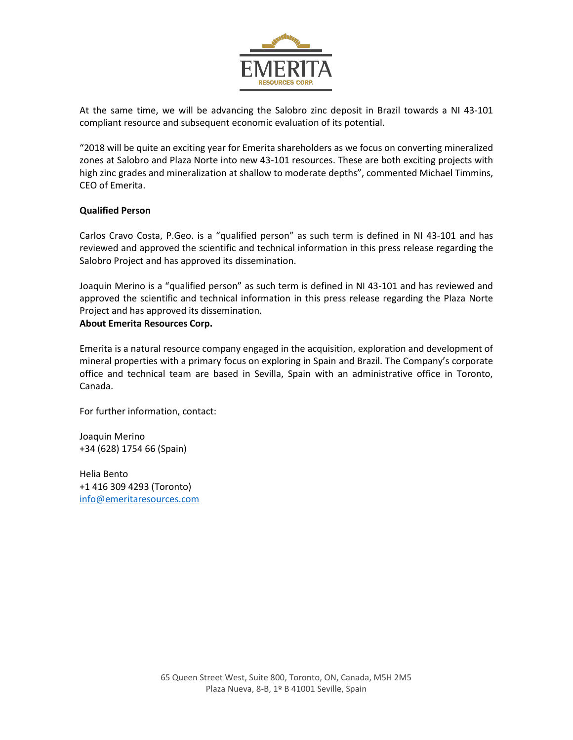

At the same time, we will be advancing the Salobro zinc deposit in Brazil towards a NI 43-101 compliant resource and subsequent economic evaluation of its potential.

"2018 will be quite an exciting year for Emerita shareholders as we focus on converting mineralized zones at Salobro and Plaza Norte into new 43-101 resources. These are both exciting projects with high zinc grades and mineralization at shallow to moderate depths", commented Michael Timmins, CEO of Emerita.

#### **Qualified Person**

Carlos Cravo Costa, P.Geo. is a "qualified person" as such term is defined in NI 43-101 and has reviewed and approved the scientific and technical information in this press release regarding the Salobro Project and has approved its dissemination.

Joaquin Merino is a "qualified person" as such term is defined in NI 43-101 and has reviewed and approved the scientific and technical information in this press release regarding the Plaza Norte Project and has approved its dissemination.

## **About Emerita Resources Corp.**

Emerita is a natural resource company engaged in the acquisition, exploration and development of mineral properties with a primary focus on exploring in Spain and Brazil. The Company's corporate office and technical team are based in Sevilla, Spain with an administrative office in Toronto, Canada.

For further information, contact:

Joaquin Merino +34 (628) 1754 66 (Spain)

Helia Bento +1 416 309 4293 (Toronto) [info@emeritaresources.com](mailto:info@emeritaresources.com)